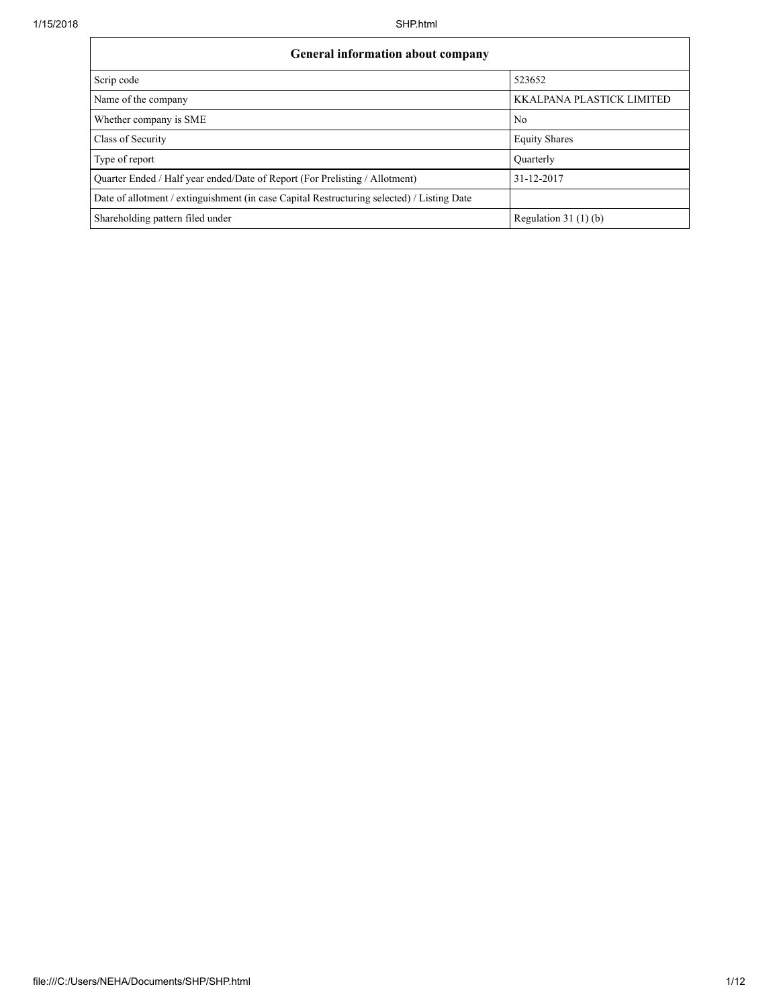| <b>General information about company</b>                                                   |                           |  |  |  |  |  |  |
|--------------------------------------------------------------------------------------------|---------------------------|--|--|--|--|--|--|
| Scrip code                                                                                 | 523652                    |  |  |  |  |  |  |
| Name of the company                                                                        | KKALPANA PLASTICK LIMITED |  |  |  |  |  |  |
| Whether company is SME                                                                     | N <sub>0</sub>            |  |  |  |  |  |  |
| Class of Security                                                                          | <b>Equity Shares</b>      |  |  |  |  |  |  |
| Type of report                                                                             | Quarterly                 |  |  |  |  |  |  |
| Quarter Ended / Half year ended/Date of Report (For Prelisting / Allotment)                | 31-12-2017                |  |  |  |  |  |  |
| Date of allotment / extinguishment (in case Capital Restructuring selected) / Listing Date |                           |  |  |  |  |  |  |
| Shareholding pattern filed under                                                           | Regulation $31(1)(b)$     |  |  |  |  |  |  |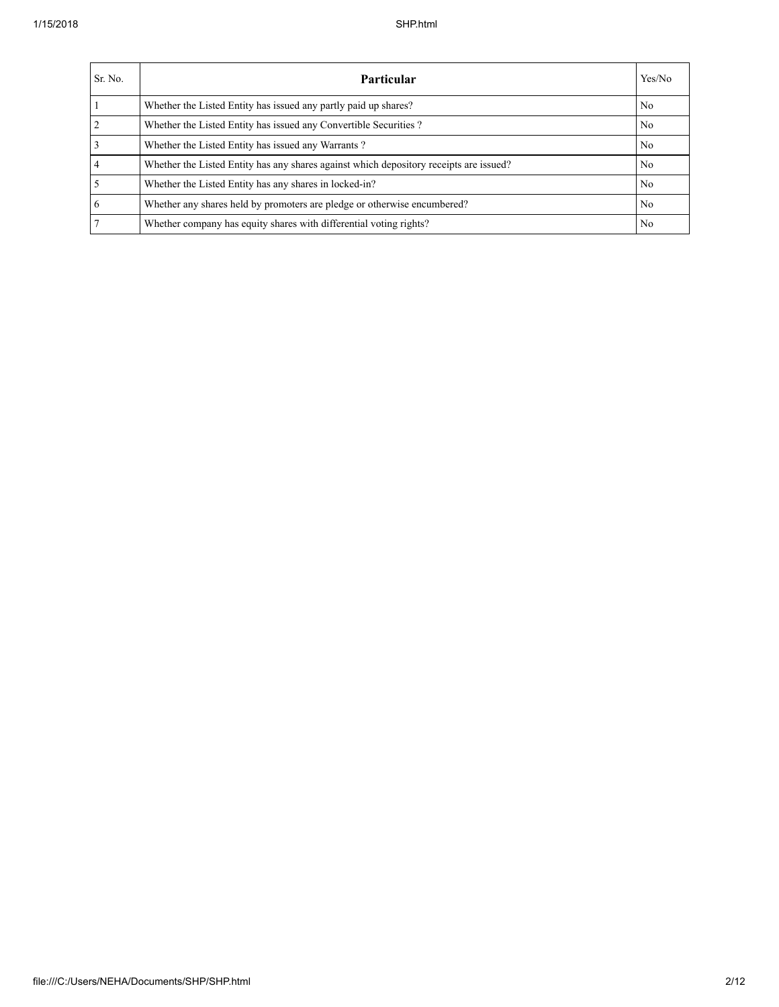| Sr. No.        | Yes/No<br><b>Particular</b>                                                            |    |  |  |  |  |
|----------------|----------------------------------------------------------------------------------------|----|--|--|--|--|
|                | Whether the Listed Entity has issued any partly paid up shares?                        | No |  |  |  |  |
| $\overline{2}$ | Whether the Listed Entity has issued any Convertible Securities?                       | No |  |  |  |  |
| $\overline{3}$ | Whether the Listed Entity has issued any Warrants?                                     | No |  |  |  |  |
| $\overline{4}$ | Whether the Listed Entity has any shares against which depository receipts are issued? | No |  |  |  |  |
| $\overline{5}$ | Whether the Listed Entity has any shares in locked-in?                                 | No |  |  |  |  |
| 6              | Whether any shares held by promoters are pledge or otherwise encumbered?               | No |  |  |  |  |
| 7              | Whether company has equity shares with differential voting rights?                     | No |  |  |  |  |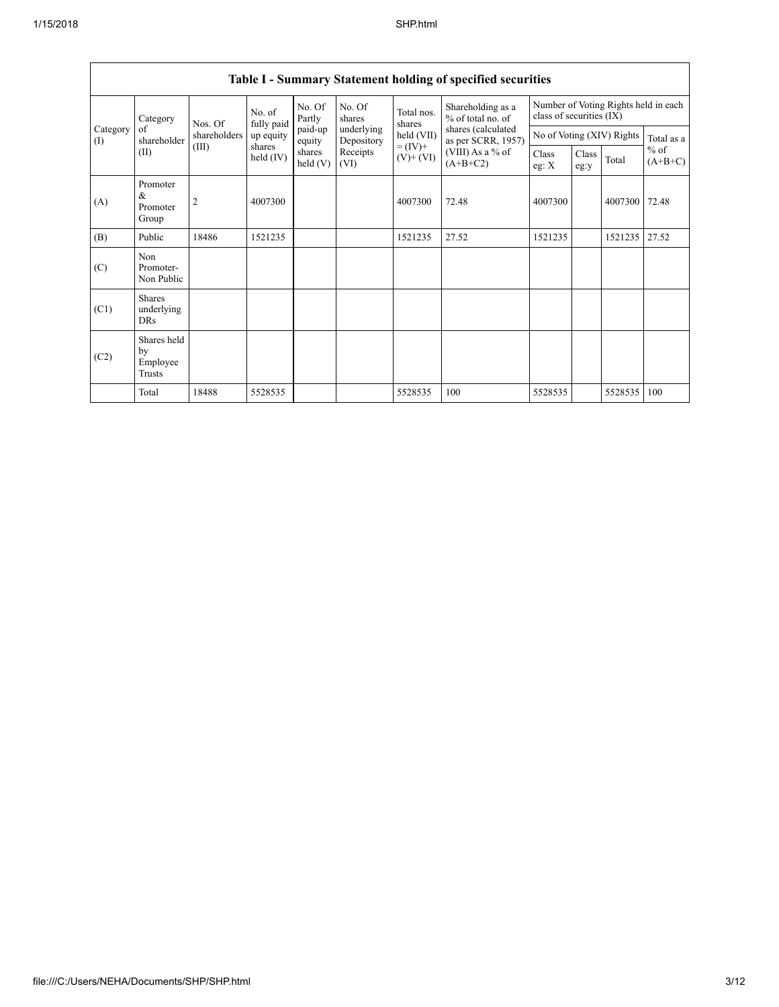| Category        | Nos. Of                                 | No. of<br>fully paid | No. Of<br>Partly    | No. Of<br>shares   | Total nos.<br>shares     | Shareholding as a<br>% of total no. of | Number of Voting Rights held in each<br>class of securities (IX) |                |               |                           |                     |
|-----------------|-----------------------------------------|----------------------|---------------------|--------------------|--------------------------|----------------------------------------|------------------------------------------------------------------|----------------|---------------|---------------------------|---------------------|
| Category<br>(I) | of<br>shareholder                       | shareholders         | up equity           | paid-up<br>equity  | underlying<br>Depository | held (VII)                             | shares (calculated<br>as per SCRR, 1957)                         |                |               | No of Voting (XIV) Rights | Total as a          |
|                 | (II)                                    | (III)                | shares<br>held (IV) | shares<br>held (V) | Receipts<br>(VI)         | $= (IV) +$<br>$(V)$ + $(VI)$           | (VIII) As a % of<br>$(A+B+C2)$                                   | Class<br>eg: X | Class<br>eg:y | Total                     | $%$ of<br>$(A+B+C)$ |
| (A)             | Promoter<br>&<br>Promoter<br>Group      | 2                    | 4007300             |                    |                          | 4007300                                | 72.48                                                            | 4007300        |               | 4007300                   | 72.48               |
| (B)             | Public                                  | 18486                | 1521235             |                    |                          | 1521235                                | 27.52                                                            | 1521235        |               | 1521235                   | 27.52               |
| (C)             | Non<br>Promoter-<br>Non Public          |                      |                     |                    |                          |                                        |                                                                  |                |               |                           |                     |
| (C1)            | <b>Shares</b><br>underlying<br>DRs      |                      |                     |                    |                          |                                        |                                                                  |                |               |                           |                     |
| (C2)            | Shares held<br>by<br>Employee<br>Trusts |                      |                     |                    |                          |                                        |                                                                  |                |               |                           |                     |
|                 | Total                                   | 18488                | 5528535             |                    |                          | 5528535                                | 100                                                              | 5528535        |               | 5528535                   | 100                 |

## Table I - Summary Statement holding of specified securities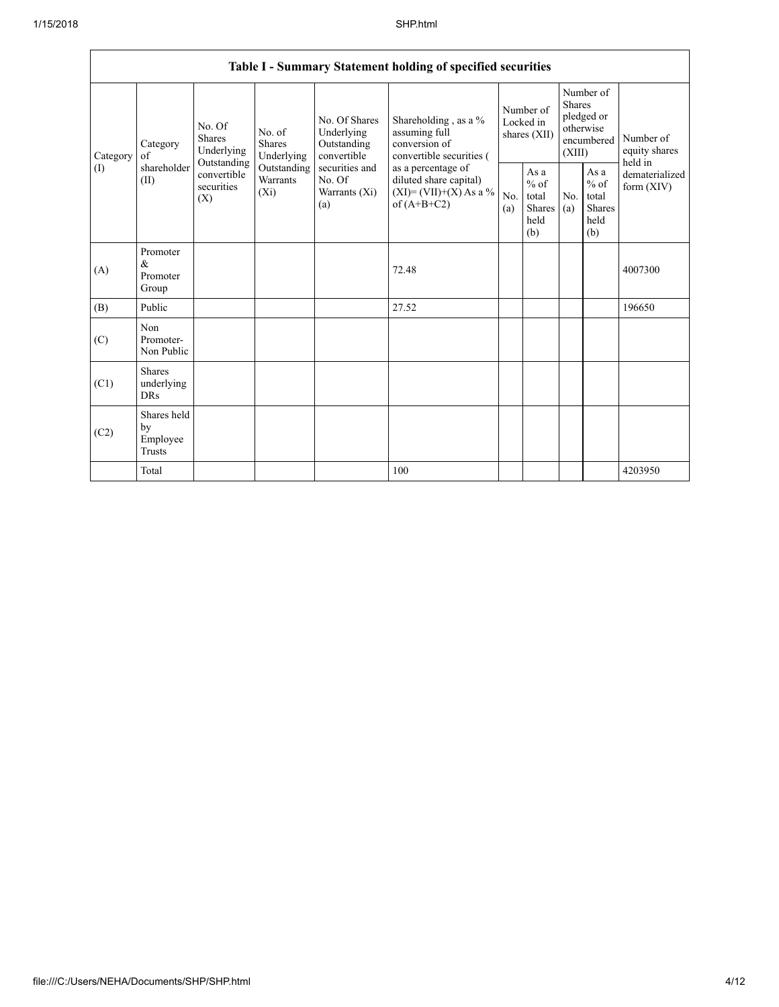|      | Table I - Summary Statement holding of specified securities                                                                                                                                                                                                                                                                                   |                                                                                          |            |                                                  |                                                                                    |                                                         |                                         |                                                                        |  |                            |
|------|-----------------------------------------------------------------------------------------------------------------------------------------------------------------------------------------------------------------------------------------------------------------------------------------------------------------------------------------------|------------------------------------------------------------------------------------------|------------|--------------------------------------------------|------------------------------------------------------------------------------------|---------------------------------------------------------|-----------------------------------------|------------------------------------------------------------------------|--|----------------------------|
|      | No. Of Shares<br>No. Of<br>Underlying<br>No. of<br><b>Shares</b><br><b>Shares</b><br>Outstanding<br>Category<br>Underlying<br>convertible<br>Underlying<br>Category<br>of<br>Outstanding<br>shareholder<br>securities and<br>Outstanding<br>convertible<br>Warrants<br>No. Of<br>(II)<br>securities<br>$(X_i)$<br>Warrants (Xi)<br>(X)<br>(a) |                                                                                          |            |                                                  | Shareholding, as a %<br>assuming full<br>conversion of<br>convertible securities ( | Number of<br>Locked in<br>shares (XII)                  |                                         | Number of<br>Shares<br>pledged or<br>otherwise<br>encumbered<br>(XIII) |  | Number of<br>equity shares |
| (I)  |                                                                                                                                                                                                                                                                                                                                               | as a percentage of<br>diluted share capital)<br>$(XI)=(VII)+(X) As a %$<br>of $(A+B+C2)$ | No.<br>(a) | As a<br>$%$ of<br>total<br>Shares<br>held<br>(b) | No.<br>(a)                                                                         | As a<br>$%$ of<br>total<br><b>Shares</b><br>held<br>(b) | held in<br>dematerialized<br>form (XIV) |                                                                        |  |                            |
| (A)  | Promoter<br>&<br>Promoter<br>Group                                                                                                                                                                                                                                                                                                            |                                                                                          |            |                                                  | 72.48                                                                              |                                                         |                                         |                                                                        |  | 4007300                    |
| (B)  | Public                                                                                                                                                                                                                                                                                                                                        |                                                                                          |            |                                                  | 27.52                                                                              |                                                         |                                         |                                                                        |  | 196650                     |
| (C)  | Non<br>Promoter-<br>Non Public                                                                                                                                                                                                                                                                                                                |                                                                                          |            |                                                  |                                                                                    |                                                         |                                         |                                                                        |  |                            |
| (C1) | <b>Shares</b><br>underlying<br><b>DRs</b>                                                                                                                                                                                                                                                                                                     |                                                                                          |            |                                                  |                                                                                    |                                                         |                                         |                                                                        |  |                            |
| (C2) | Shares held<br>by<br>Employee<br>Trusts                                                                                                                                                                                                                                                                                                       |                                                                                          |            |                                                  |                                                                                    |                                                         |                                         |                                                                        |  |                            |
|      | Total                                                                                                                                                                                                                                                                                                                                         |                                                                                          |            |                                                  | 100                                                                                |                                                         |                                         |                                                                        |  | 4203950                    |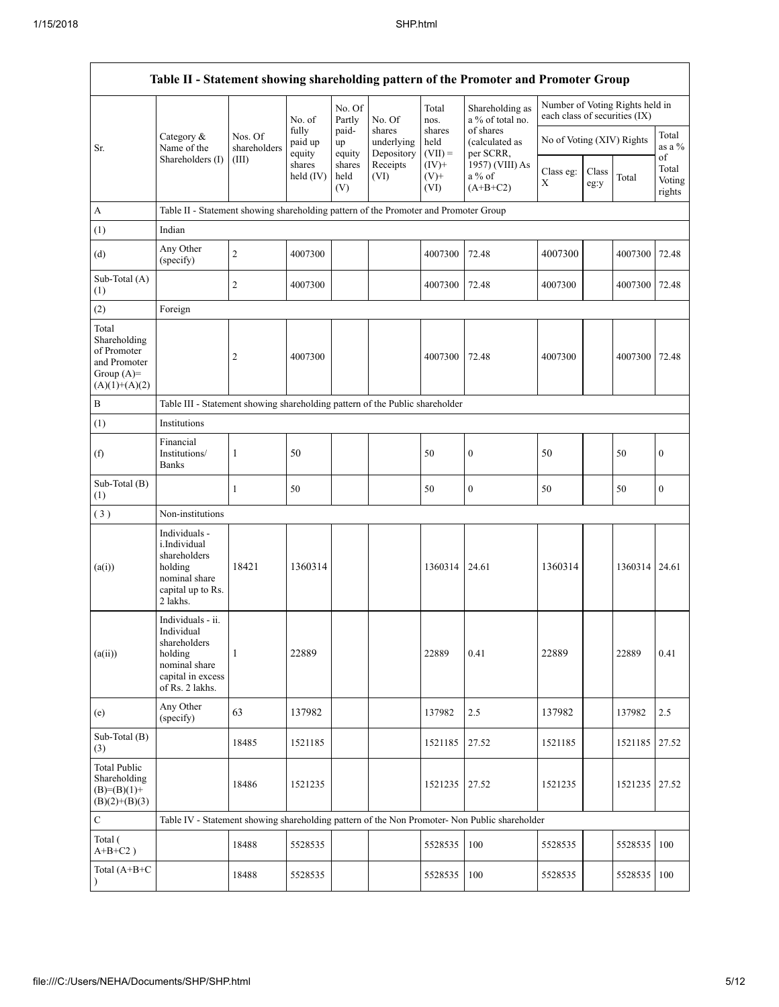|                                                                                         |                                                                                                                     |                         |                            |                       |                                    |                             | Table II - Statement showing shareholding pattern of the Promoter and Promoter Group          |                                                                  |               |         |                           |
|-----------------------------------------------------------------------------------------|---------------------------------------------------------------------------------------------------------------------|-------------------------|----------------------------|-----------------------|------------------------------------|-----------------------------|-----------------------------------------------------------------------------------------------|------------------------------------------------------------------|---------------|---------|---------------------------|
|                                                                                         |                                                                                                                     |                         |                            | No. Of<br>Partly      | No. Of                             | Total<br>nos.               | Shareholding as<br>a % of total no.                                                           | Number of Voting Rights held in<br>each class of securities (IX) |               |         |                           |
| Sr.                                                                                     | Category &<br>Name of the                                                                                           | Nos. Of<br>shareholders | fully<br>paid up<br>equity | paid-<br>up<br>equity | shares<br>underlying<br>Depository | shares<br>held<br>$(VII) =$ | of shares<br>(calculated as<br>per SCRR,                                                      | No of Voting (XIV) Rights                                        |               |         | Total<br>as a %<br>of     |
|                                                                                         | Shareholders (I)                                                                                                    | (III)                   | shares<br>held $(IV)$      | shares<br>held<br>(V) | Receipts<br>(VI)                   | $(IV)+$<br>$(V)$ +<br>(VI)  | 1957) (VIII) As<br>a % of<br>$(A+B+C2)$                                                       | Class eg:<br>Χ                                                   | Class<br>eg:y | Total   | Total<br>Voting<br>rights |
| A                                                                                       | Table II - Statement showing shareholding pattern of the Promoter and Promoter Group                                |                         |                            |                       |                                    |                             |                                                                                               |                                                                  |               |         |                           |
| (1)                                                                                     | Indian                                                                                                              |                         |                            |                       |                                    |                             |                                                                                               |                                                                  |               |         |                           |
| (d)                                                                                     | Any Other<br>(specify)                                                                                              | $\overline{c}$          | 4007300                    |                       |                                    | 4007300                     | 72.48                                                                                         | 4007300                                                          |               | 4007300 | 72.48                     |
| Sub-Total $(A)$<br>(1)                                                                  |                                                                                                                     | $\overline{c}$          | 4007300                    |                       |                                    | 4007300                     | 72.48                                                                                         | 4007300                                                          |               | 4007300 | 72.48                     |
| (2)                                                                                     | Foreign                                                                                                             |                         |                            |                       |                                    |                             |                                                                                               |                                                                  |               |         |                           |
| Total<br>Shareholding<br>of Promoter<br>and Promoter<br>Group $(A)=$<br>$(A)(1)+(A)(2)$ |                                                                                                                     | 2                       | 4007300                    |                       |                                    | 4007300                     | 72.48                                                                                         | 4007300                                                          |               | 4007300 | 72.48                     |
| $\, {\bf B}$                                                                            | Table III - Statement showing shareholding pattern of the Public shareholder                                        |                         |                            |                       |                                    |                             |                                                                                               |                                                                  |               |         |                           |
| (1)                                                                                     | Institutions                                                                                                        |                         |                            |                       |                                    |                             |                                                                                               |                                                                  |               |         |                           |
| (f)                                                                                     | Financial<br>Institutions/<br><b>Banks</b>                                                                          | 1                       | 50                         |                       |                                    | 50                          | $\boldsymbol{0}$                                                                              | 50                                                               |               | 50      | $\boldsymbol{0}$          |
| Sub-Total (B)<br>(1)                                                                    |                                                                                                                     | $\mathbf{1}$            | 50                         |                       |                                    | 50                          | $\boldsymbol{0}$                                                                              | 50                                                               |               | 50      | $\boldsymbol{0}$          |
| (3)                                                                                     | Non-institutions                                                                                                    |                         |                            |                       |                                    |                             |                                                                                               |                                                                  |               |         |                           |
| (a(i))                                                                                  | Individuals -<br>i.Individual<br>shareholders<br>holding<br>nominal share<br>capital up to Rs.<br>2 lakhs.          | 18421                   | 1360314                    |                       |                                    | 1360314                     | 24.61                                                                                         | 1360314                                                          |               | 1360314 | 24.61                     |
| (a(ii))                                                                                 | Individuals - ii.<br>Individual<br>shareholders<br>holding<br>nominal share<br>capital in excess<br>of Rs. 2 lakhs. | $\mathbf{1}$            | 22889                      |                       |                                    | 22889                       | 0.41                                                                                          | 22889                                                            |               | 22889   | 0.41                      |
| (e)                                                                                     | Any Other<br>(specify)                                                                                              | 63                      | 137982                     |                       |                                    | 137982                      | 2.5                                                                                           | 137982                                                           |               | 137982  | 2.5                       |
| Sub-Total (B)<br>(3)                                                                    |                                                                                                                     | 18485                   | 1521185                    |                       |                                    | 1521185                     | 27.52                                                                                         | 1521185                                                          |               | 1521185 | 27.52                     |
| <b>Total Public</b><br>Shareholding<br>$(B)=(B)(1)+$<br>$(B)(2)+(B)(3)$                 |                                                                                                                     | 18486                   | 1521235                    |                       |                                    | 1521235                     | 27.52                                                                                         | 1521235                                                          |               | 1521235 | 27.52                     |
| $\mathbf C$                                                                             |                                                                                                                     |                         |                            |                       |                                    |                             | Table IV - Statement showing shareholding pattern of the Non Promoter- Non Public shareholder |                                                                  |               |         |                           |
| Total (<br>$A+B+C2$ )                                                                   |                                                                                                                     | 18488                   | 5528535                    |                       |                                    | 5528535                     | 100                                                                                           | 5528535                                                          |               | 5528535 | 100                       |
| Total $(A+B+C)$                                                                         |                                                                                                                     | 18488                   | 5528535                    |                       |                                    | 5528535                     | 100                                                                                           | 5528535                                                          |               | 5528535 | 100                       |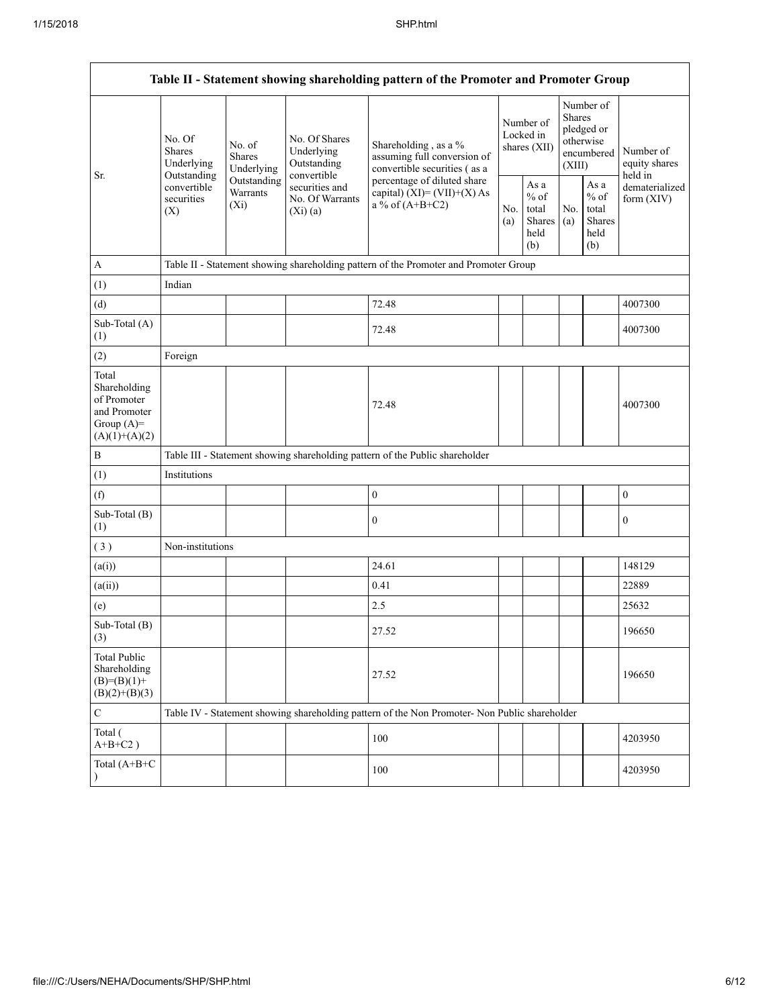| Table II - Statement showing shareholding pattern of the Promoter and Promoter Group    |                                                           |                                    |                                                                |                                                                                                                                                                           |                                        |                                                         |                                                                               |                                                            |                                           |
|-----------------------------------------------------------------------------------------|-----------------------------------------------------------|------------------------------------|----------------------------------------------------------------|---------------------------------------------------------------------------------------------------------------------------------------------------------------------------|----------------------------------------|---------------------------------------------------------|-------------------------------------------------------------------------------|------------------------------------------------------------|-------------------------------------------|
|                                                                                         | No. Of<br>No. of<br>Shares<br><b>Shares</b><br>Underlying | Underlying                         | No. Of Shares<br>Underlying<br>Outstanding                     | Shareholding, as a %<br>assuming full conversion of<br>convertible securities (as a<br>percentage of diluted share<br>capital) $(XI) = (VII)+(X) As$<br>a % of $(A+B+C2)$ | Number of<br>Locked in<br>shares (XII) |                                                         | Number of<br><b>Shares</b><br>pledged or<br>otherwise<br>encumbered<br>(XIII) |                                                            | Number of<br>equity shares                |
| Sr.                                                                                     | Outstanding<br>convertible<br>securities<br>(X)           | Outstanding<br>Warrants<br>$(X_i)$ | convertible<br>securities and<br>No. Of Warrants<br>$(Xi)$ (a) |                                                                                                                                                                           | No.<br>(a)                             | As a<br>$%$ of<br>total<br><b>Shares</b><br>held<br>(b) | No.<br>(a)                                                                    | As $\mathbf a$<br>$%$ of<br>total<br>Shares<br>held<br>(b) | held in<br>dematerialized<br>form $(XIV)$ |
| $\boldsymbol{A}$                                                                        |                                                           |                                    |                                                                | Table II - Statement showing shareholding pattern of the Promoter and Promoter Group                                                                                      |                                        |                                                         |                                                                               |                                                            |                                           |
| (1)                                                                                     | Indian                                                    |                                    |                                                                |                                                                                                                                                                           |                                        |                                                         |                                                                               |                                                            |                                           |
| (d)                                                                                     |                                                           |                                    |                                                                | 72.48                                                                                                                                                                     |                                        |                                                         |                                                                               |                                                            | 4007300                                   |
| Sub-Total (A)<br>(1)                                                                    |                                                           |                                    |                                                                | 72.48                                                                                                                                                                     |                                        |                                                         |                                                                               |                                                            | 4007300                                   |
| (2)                                                                                     | Foreign                                                   |                                    |                                                                |                                                                                                                                                                           |                                        |                                                         |                                                                               |                                                            |                                           |
| Total<br>Shareholding<br>of Promoter<br>and Promoter<br>Group $(A)=$<br>$(A)(1)+(A)(2)$ |                                                           |                                    |                                                                | 72.48                                                                                                                                                                     |                                        |                                                         |                                                                               |                                                            | 4007300                                   |
| $\bf{B}$                                                                                |                                                           |                                    |                                                                | Table III - Statement showing shareholding pattern of the Public shareholder                                                                                              |                                        |                                                         |                                                                               |                                                            |                                           |
| (1)                                                                                     | Institutions                                              |                                    |                                                                |                                                                                                                                                                           |                                        |                                                         |                                                                               |                                                            |                                           |
| (f)                                                                                     |                                                           |                                    |                                                                | $\boldsymbol{0}$                                                                                                                                                          |                                        |                                                         |                                                                               |                                                            | $\boldsymbol{0}$                          |
| Sub-Total (B)<br>(1)                                                                    |                                                           |                                    |                                                                | $\boldsymbol{0}$                                                                                                                                                          |                                        |                                                         |                                                                               |                                                            | $\boldsymbol{0}$                          |
| (3)                                                                                     | Non-institutions                                          |                                    |                                                                |                                                                                                                                                                           |                                        |                                                         |                                                                               |                                                            |                                           |
| (a(i))                                                                                  |                                                           |                                    |                                                                | 24.61                                                                                                                                                                     |                                        |                                                         |                                                                               |                                                            | 148129                                    |
| (a(ii))                                                                                 |                                                           |                                    |                                                                | 0.41                                                                                                                                                                      |                                        |                                                         |                                                                               |                                                            | 22889                                     |
| (e)                                                                                     |                                                           |                                    |                                                                | 2.5                                                                                                                                                                       |                                        |                                                         |                                                                               |                                                            | 25632                                     |
| Sub-Total (B)<br>(3)                                                                    |                                                           |                                    |                                                                | 27.52                                                                                                                                                                     |                                        |                                                         |                                                                               |                                                            | 196650                                    |
| <b>Total Public</b><br>Shareholding<br>$(B)=(B)(1)+$<br>$(B)(2)+(B)(3)$                 |                                                           |                                    |                                                                | 27.52                                                                                                                                                                     |                                        |                                                         |                                                                               |                                                            | 196650                                    |
| $\mathbf C$                                                                             |                                                           |                                    |                                                                | Table IV - Statement showing shareholding pattern of the Non Promoter- Non Public shareholder                                                                             |                                        |                                                         |                                                                               |                                                            |                                           |
| Total (<br>$A+B+C2$ )                                                                   |                                                           |                                    |                                                                | 100                                                                                                                                                                       |                                        |                                                         |                                                                               |                                                            | 4203950                                   |
| Total (A+B+C<br>$\lambda$                                                               |                                                           |                                    |                                                                | 100                                                                                                                                                                       |                                        |                                                         |                                                                               |                                                            | 4203950                                   |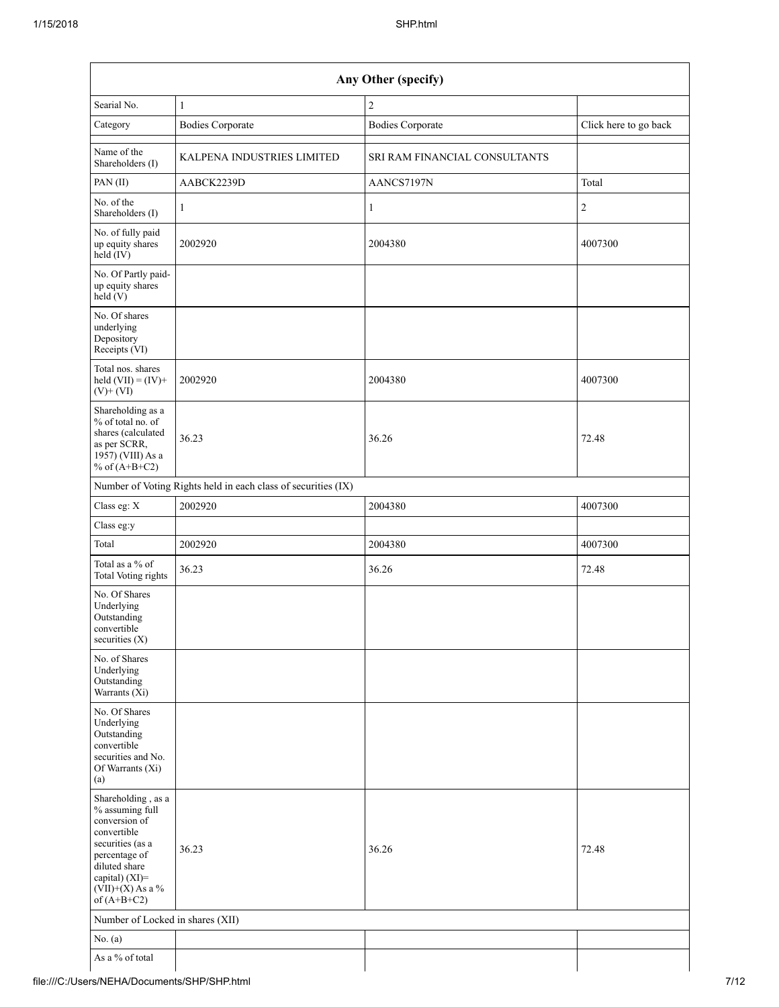| Searial No.                                                                                                                                                                          | $\mathbf{1}$                                                  | $\overline{c}$                |                       |
|--------------------------------------------------------------------------------------------------------------------------------------------------------------------------------------|---------------------------------------------------------------|-------------------------------|-----------------------|
| Category                                                                                                                                                                             | <b>Bodies Corporate</b>                                       | <b>Bodies Corporate</b>       | Click here to go back |
| Name of the<br>Shareholders (I)                                                                                                                                                      | KALPENA INDUSTRIES LIMITED                                    | SRI RAM FINANCIAL CONSULTANTS |                       |
| PAN(II)                                                                                                                                                                              | AABCK2239D                                                    | AANCS7197N                    | Total                 |
| No. of the<br>Shareholders (I)                                                                                                                                                       | $\mathbf{1}$                                                  | $\mathbf{1}$                  | $\overline{c}$        |
| No. of fully paid<br>up equity shares<br>$held$ (IV)                                                                                                                                 | 2002920                                                       | 2004380                       | 4007300               |
| No. Of Partly paid-<br>up equity shares<br>$\text{held}(V)$                                                                                                                          |                                                               |                               |                       |
| No. Of shares<br>underlying<br>Depository<br>Receipts (VI)                                                                                                                           |                                                               |                               |                       |
| Total nos. shares<br>held $(VII) = (IV) +$<br>$(V)$ + $(VI)$                                                                                                                         | 2002920                                                       | 2004380                       | 4007300               |
| Shareholding as a<br>$%$ of total no. of<br>shares (calculated<br>as per SCRR,<br>$1957)$ (VIII) As a<br>% of $(A+B+C2)$                                                             | 36.23                                                         | 36.26                         | 72.48                 |
|                                                                                                                                                                                      | Number of Voting Rights held in each class of securities (IX) |                               |                       |
| Class eg: $\mathbf X$                                                                                                                                                                | 2002920                                                       | 2004380                       | 4007300               |
| Class eg:y                                                                                                                                                                           |                                                               |                               |                       |
| Total                                                                                                                                                                                | 2002920                                                       | 2004380                       | 4007300               |
| Total as a $\%$ of<br>Total Voting rights                                                                                                                                            | 36.23                                                         | 36.26                         | 72.48                 |
| No. Of Shares<br>Underlying<br>Outstanding<br>convertible<br>securities $(X)$                                                                                                        |                                                               |                               |                       |
| No. of Shares<br>Underlying<br>Outstanding<br>Warrants (Xi)                                                                                                                          |                                                               |                               |                       |
| No. Of Shares<br>Underlying<br>Outstanding<br>convertible<br>securities and No.<br>Of Warrants (Xi)<br>(a)                                                                           |                                                               |                               |                       |
| Shareholding, as a<br>% assuming full<br>conversion of<br>convertible<br>securities (as a<br>percentage of<br>diluted share<br>capital) (XI)=<br>$(VII)+(X)$ As a %<br>of $(A+B+C2)$ | 36.23                                                         | 36.26                         | 72.48                 |
| Number of Locked in shares (XII)                                                                                                                                                     |                                                               |                               |                       |
| No. $(a)$                                                                                                                                                                            |                                                               |                               |                       |
| As a % of total                                                                                                                                                                      |                                                               |                               |                       |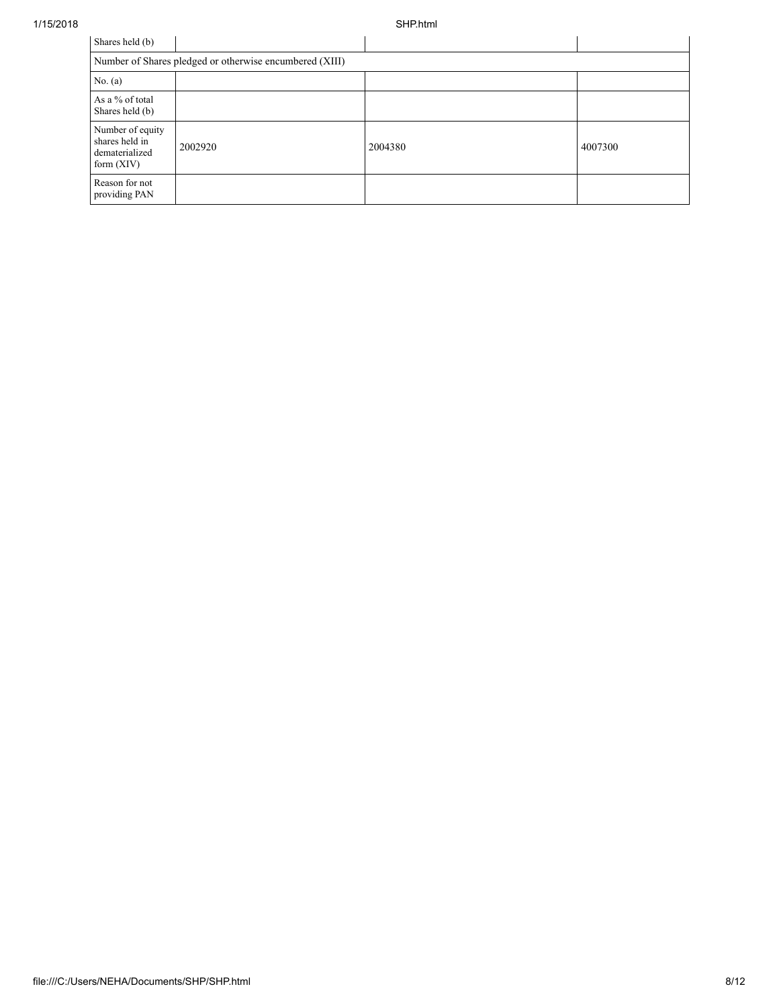1/15/2018 SHP.html

| Shares held (b)                                                      |                                                         |         |         |  |  |  |  |  |
|----------------------------------------------------------------------|---------------------------------------------------------|---------|---------|--|--|--|--|--|
|                                                                      | Number of Shares pledged or otherwise encumbered (XIII) |         |         |  |  |  |  |  |
| No. (a)                                                              |                                                         |         |         |  |  |  |  |  |
| As a % of total<br>Shares held (b)                                   |                                                         |         |         |  |  |  |  |  |
| Number of equity<br>shares held in<br>dematerialized<br>form $(XIV)$ | 2002920                                                 | 2004380 | 4007300 |  |  |  |  |  |
| Reason for not<br>providing PAN                                      |                                                         |         |         |  |  |  |  |  |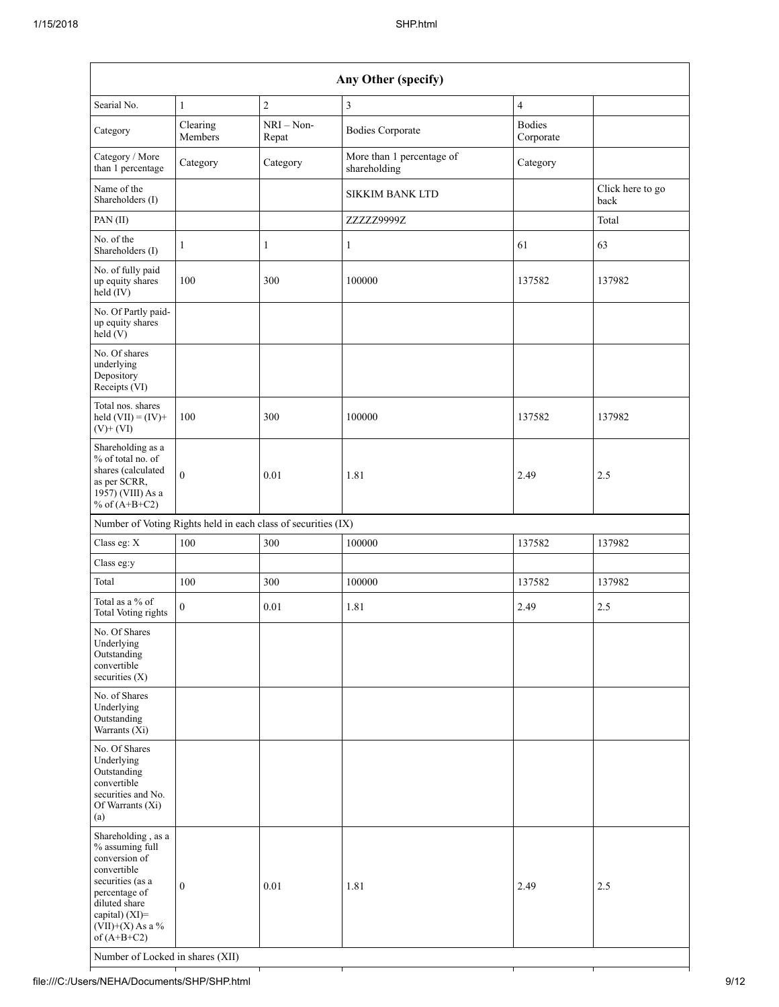| Any Other (specify)                                                                                                                                                                                                      |                                                               |                       |                                           |                            |                          |  |
|--------------------------------------------------------------------------------------------------------------------------------------------------------------------------------------------------------------------------|---------------------------------------------------------------|-----------------------|-------------------------------------------|----------------------------|--------------------------|--|
| Searial No.                                                                                                                                                                                                              | 1                                                             | $\overline{c}$        | $\mathfrak{Z}$                            | $\overline{4}$             |                          |  |
| Category                                                                                                                                                                                                                 | Clearing<br>Members                                           | $NRI - Non-$<br>Repat | <b>Bodies Corporate</b>                   | <b>Bodies</b><br>Corporate |                          |  |
| Category / More<br>than 1 percentage                                                                                                                                                                                     | Category                                                      | Category              | More than 1 percentage of<br>shareholding | Category                   |                          |  |
| Name of the<br>Shareholders (I)                                                                                                                                                                                          |                                                               |                       | <b>SIKKIM BANK LTD</b>                    |                            | Click here to go<br>back |  |
| PAN(II)                                                                                                                                                                                                                  |                                                               |                       | ZZZZZ9999Z                                |                            | Total                    |  |
| No. of the<br>Shareholders (I)                                                                                                                                                                                           | 1                                                             | 1                     | $\mathbf{1}$                              | 61                         | 63                       |  |
| No. of fully paid<br>up equity shares<br>$held$ (IV)                                                                                                                                                                     | 100                                                           | 300                   | 100000                                    | 137582                     | 137982                   |  |
| No. Of Partly paid-<br>up equity shares<br>held(V)                                                                                                                                                                       |                                                               |                       |                                           |                            |                          |  |
| No. Of shares<br>underlying<br>Depository<br>Receipts (VI)                                                                                                                                                               |                                                               |                       |                                           |                            |                          |  |
| Total nos. shares<br>held $(VII) = (IV) +$<br>$(V)$ + $(VI)$                                                                                                                                                             | 100                                                           | 300                   | 100000                                    | 137582                     | 137982                   |  |
| Shareholding as a<br>% of total no. of<br>shares (calculated<br>as per SCRR,<br>1957) (VIII) As a<br>% of $(A+B+C2)$                                                                                                     | $\overline{0}$                                                | 0.01                  | 1.81                                      | 2.49                       | 2.5                      |  |
|                                                                                                                                                                                                                          | Number of Voting Rights held in each class of securities (IX) |                       |                                           |                            |                          |  |
| Class eg: X                                                                                                                                                                                                              | 100                                                           | 300                   | 100000                                    | 137582                     | 137982                   |  |
| Class eg:y                                                                                                                                                                                                               |                                                               |                       |                                           |                            |                          |  |
| Total                                                                                                                                                                                                                    | 100                                                           | 300                   | 100000                                    | 137582                     | 137982                   |  |
| Total as a % of<br><b>Total Voting rights</b>                                                                                                                                                                            | $\theta$                                                      | 0.01                  | 1.81                                      | 2.49                       | 2.5                      |  |
| No. Of Shares<br>Underlying<br>Outstanding<br>convertible<br>securities $(X)$                                                                                                                                            |                                                               |                       |                                           |                            |                          |  |
| No. of Shares<br>Underlying<br>Outstanding<br>Warrants (Xi)                                                                                                                                                              |                                                               |                       |                                           |                            |                          |  |
| No. Of Shares<br>Underlying<br>Outstanding<br>convertible<br>securities and No.<br>Of Warrants (Xi)<br>(a)                                                                                                               |                                                               |                       |                                           |                            |                          |  |
| Shareholding, as a<br>% assuming full<br>conversion of<br>convertible<br>securities (as a<br>percentage of<br>diluted share<br>capital) (XI)=<br>$(VII)+(X)$ As a %<br>of $(A+B+C2)$<br>Number of Locked in shares (XII) | $\mathbf{0}$                                                  | 0.01                  | 1.81                                      | 2.49                       | 2.5                      |  |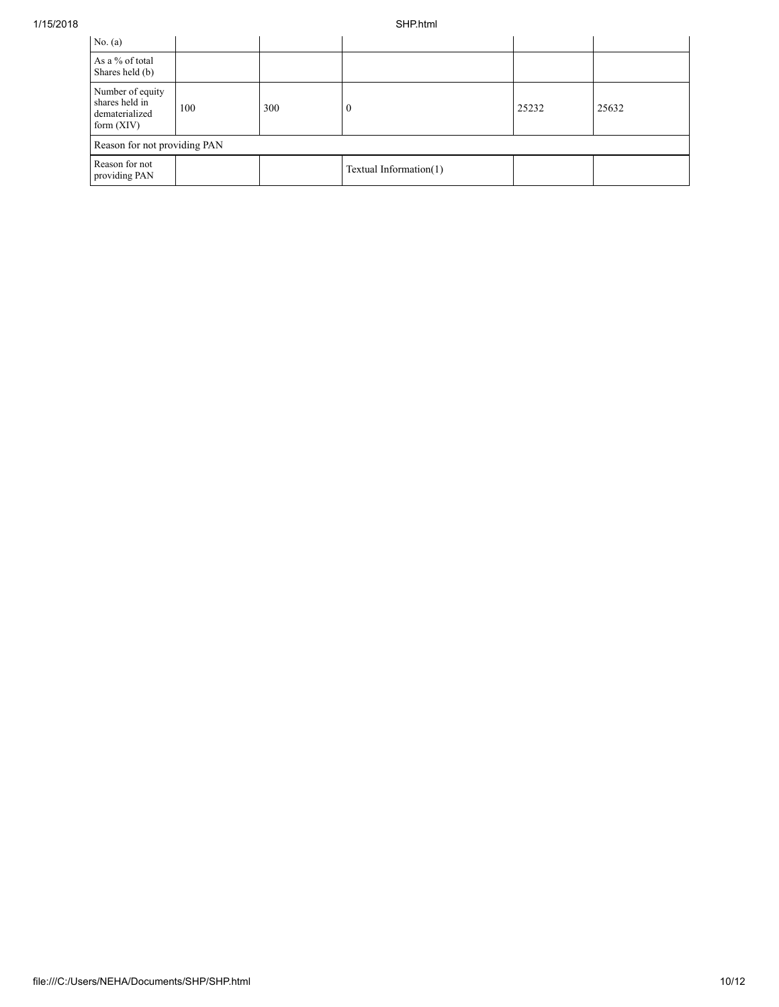| No. (a)                                                              |     |     |                        |       |       |  |  |
|----------------------------------------------------------------------|-----|-----|------------------------|-------|-------|--|--|
| As a % of total<br>Shares held (b)                                   |     |     |                        |       |       |  |  |
| Number of equity<br>shares held in<br>dematerialized<br>form $(XIV)$ | 100 | 300 | $\mathbf{0}$           | 25232 | 25632 |  |  |
| Reason for not providing PAN                                         |     |     |                        |       |       |  |  |
| Reason for not<br>providing PAN                                      |     |     | Textual Information(1) |       |       |  |  |